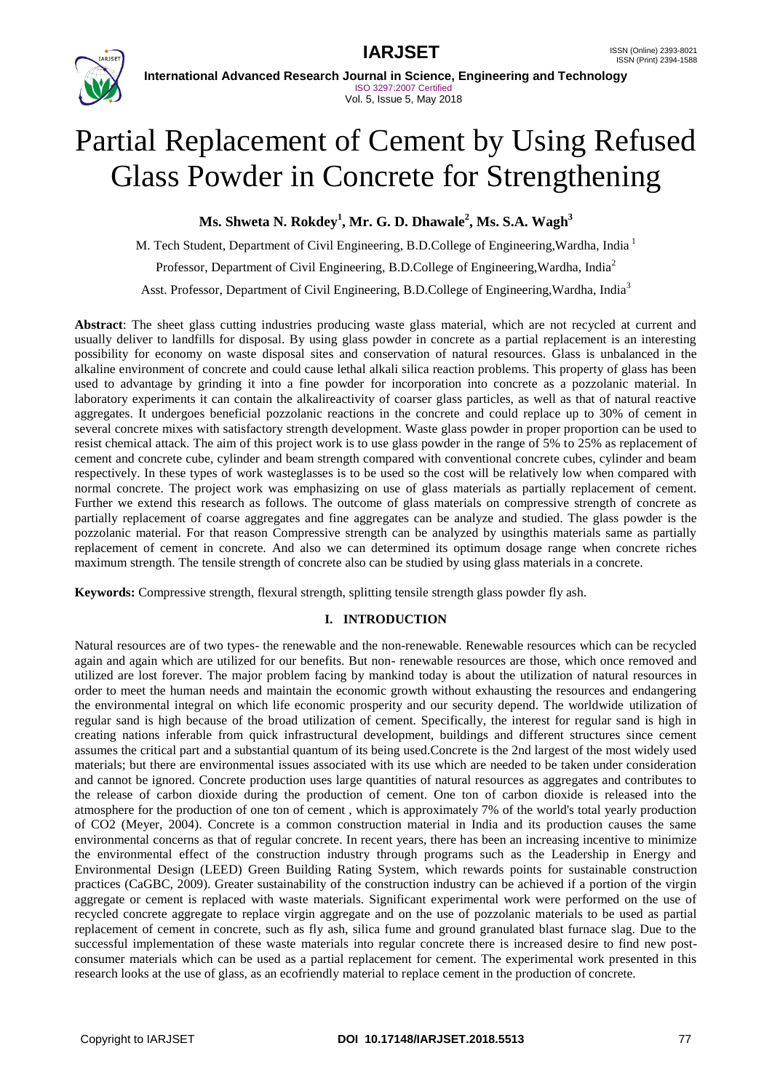



**International Advanced Research Journal in Science, Engineering and Technology** ISO 3297:2007 Certified Vol. 5, Issue 5, May 2018

# Partial Replacement of Cement by Using Refused Glass Powder in Concrete for Strengthening

**Ms. Shweta N. Rokdey<sup>1</sup> , Mr. G. D. Dhawale<sup>2</sup> , Ms. S.A. Wagh<sup>3</sup>**

M. Tech Student, Department of Civil Engineering, B.D.College of Engineering, Wardha, India<sup>1</sup>

Professor, Department of Civil Engineering, B.D.College of Engineering,Wardha, India<sup>2</sup>

Asst. Professor, Department of Civil Engineering, B.D.College of Engineering,Wardha, India<sup>3</sup>

**Abstract**: The sheet glass cutting industries producing waste glass material, which are not recycled at current and usually deliver to landfills for disposal. By using glass powder in concrete as a partial replacement is an interesting possibility for economy on waste disposal sites and conservation of natural resources. Glass is unbalanced in the alkaline environment of concrete and could cause lethal alkali silica reaction problems. This property of glass has been used to advantage by grinding it into a fine powder for incorporation into concrete as a pozzolanic material. In laboratory experiments it can contain the alkalireactivity of coarser glass particles, as well as that of natural reactive aggregates. It undergoes beneficial pozzolanic reactions in the concrete and could replace up to 30% of cement in several concrete mixes with satisfactory strength development. Waste glass powder in proper proportion can be used to resist chemical attack. The aim of this project work is to use glass powder in the range of 5% to 25% as replacement of cement and concrete cube, cylinder and beam strength compared with conventional concrete cubes, cylinder and beam respectively. In these types of work wasteglasses is to be used so the cost will be relatively low when compared with normal concrete. The project work was emphasizing on use of glass materials as partially replacement of cement. Further we extend this research as follows. The outcome of glass materials on compressive strength of concrete as partially replacement of coarse aggregates and fine aggregates can be analyze and studied. The glass powder is the pozzolanic material. For that reason Compressive strength can be analyzed by usingthis materials same as partially replacement of cement in concrete. And also we can determined its optimum dosage range when concrete riches maximum strength. The tensile strength of concrete also can be studied by using glass materials in a concrete.

**Keywords:** Compressive strength, flexural strength, splitting tensile strength glass powder fly ash.

## **I. INTRODUCTION**

Natural resources are of two types- the renewable and the non-renewable. Renewable resources which can be recycled again and again which are utilized for our benefits. But non- renewable resources are those, which once removed and utilized are lost forever. The major problem facing by mankind today is about the utilization of natural resources in order to meet the human needs and maintain the economic growth without exhausting the resources and endangering the environmental integral on which life economic prosperity and our security depend. The worldwide utilization of regular sand is high because of the broad utilization of cement. Specifically, the interest for regular sand is high in creating nations inferable from quick infrastructural development, buildings and different structures since cement assumes the critical part and a substantial quantum of its being used.Concrete is the 2nd largest of the most widely used materials; but there are environmental issues associated with its use which are needed to be taken under consideration and cannot be ignored. Concrete production uses large quantities of natural resources as aggregates and contributes to the release of carbon dioxide during the production of cement. One ton of carbon dioxide is released into the atmosphere for the production of one ton of cement , which is approximately 7% of the world's total yearly production of CO2 (Meyer, 2004). Concrete is a common construction material in India and its production causes the same environmental concerns as that of regular concrete. In recent years, there has been an increasing incentive to minimize the environmental effect of the construction industry through programs such as the Leadership in Energy and Environmental Design (LEED) Green Building Rating System, which rewards points for sustainable construction practices (CaGBC, 2009). Greater sustainability of the construction industry can be achieved if a portion of the virgin aggregate or cement is replaced with waste materials. Significant experimental work were performed on the use of recycled concrete aggregate to replace virgin aggregate and on the use of pozzolanic materials to be used as partial replacement of cement in concrete, such as fly ash, silica fume and ground granulated blast furnace slag. Due to the successful implementation of these waste materials into regular concrete there is increased desire to find new postconsumer materials which can be used as a partial replacement for cement. The experimental work presented in this research looks at the use of glass, as an ecofriendly material to replace cement in the production of concrete.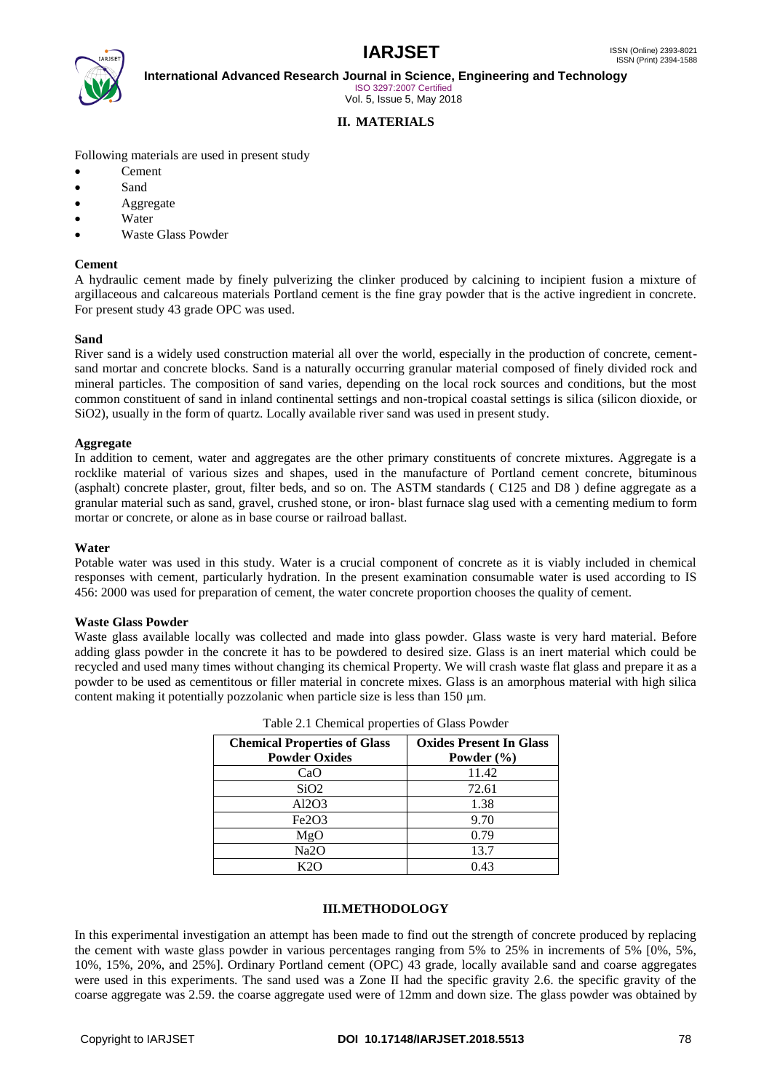

**International Advanced Research Journal in Science, Engineering and Technology**

ISO 3297:2007 Certified Vol. 5, Issue 5, May 2018

### **II. MATERIALS**

Following materials are used in present study

- Cement
- Sand
- Aggregate
- Water
- Waste Glass Powder

#### **Cement**

A hydraulic cement made by finely pulverizing the clinker produced by calcining to incipient fusion a mixture of argillaceous and calcareous materials Portland cement is the fine gray powder that is the active ingredient in concrete. For present study 43 grade OPC was used.

#### **Sand**

River sand is a widely used construction material all over the world, especially in the production of concrete, cementsand mortar and concrete blocks. Sand is a naturally occurring granular material composed of finely divided rock and mineral particles. The composition of sand varies, depending on the local rock sources and conditions, but the most common constituent of sand in inland continental settings and non-tropical coastal settings is silica (silicon dioxide, or SiO2), usually in the form of quartz. Locally available river sand was used in present study.

### **Aggregate**

In addition to cement, water and aggregates are the other primary constituents of concrete mixtures. Aggregate is a rocklike material of various sizes and shapes, used in the manufacture of Portland cement concrete, bituminous (asphalt) concrete plaster, grout, filter beds, and so on. The ASTM standards ( C125 and D8 ) define aggregate as a granular material such as sand, gravel, crushed stone, or iron- blast furnace slag used with a cementing medium to form mortar or concrete, or alone as in base course or railroad ballast.

#### **Water**

Potable water was used in this study. Water is a crucial component of concrete as it is viably included in chemical responses with cement, particularly hydration. In the present examination consumable water is used according to IS 456: 2000 was used for preparation of cement, the water concrete proportion chooses the quality of cement.

#### **Waste Glass Powder**

Waste glass available locally was collected and made into glass powder. Glass waste is very hard material. Before adding glass powder in the concrete it has to be powdered to desired size. Glass is an inert material which could be recycled and used many times without changing its chemical Property. We will crash waste flat glass and prepare it as a powder to be used as cementitous or filler material in concrete mixes. Glass is an amorphous material with high silica content making it potentially pozzolanic when particle size is less than 150 μm.

| <b>Chemical Properties of Glass</b><br><b>Powder Oxides</b> | <b>Oxides Present In Glass</b><br>Powder $(\% )$ |
|-------------------------------------------------------------|--------------------------------------------------|
| CaO                                                         | 11.42                                            |
| SiO2                                                        | 72.61                                            |
| Al2O3                                                       | 1.38                                             |
| Fe <sub>2</sub> O <sub>3</sub>                              | 9.70                                             |
| MgO                                                         | 0.79                                             |
| Na2O                                                        | 13.7                                             |
|                                                             | 0.43                                             |

#### **III.METHODOLOGY**

In this experimental investigation an attempt has been made to find out the strength of concrete produced by replacing the cement with waste glass powder in various percentages ranging from 5% to 25% in increments of 5% [0%, 5%, 10%, 15%, 20%, and 25%]. Ordinary Portland cement (OPC) 43 grade, locally available sand and coarse aggregates were used in this experiments. The sand used was a Zone II had the specific gravity 2.6. the specific gravity of the coarse aggregate was 2.59. the coarse aggregate used were of 12mm and down size. The glass powder was obtained by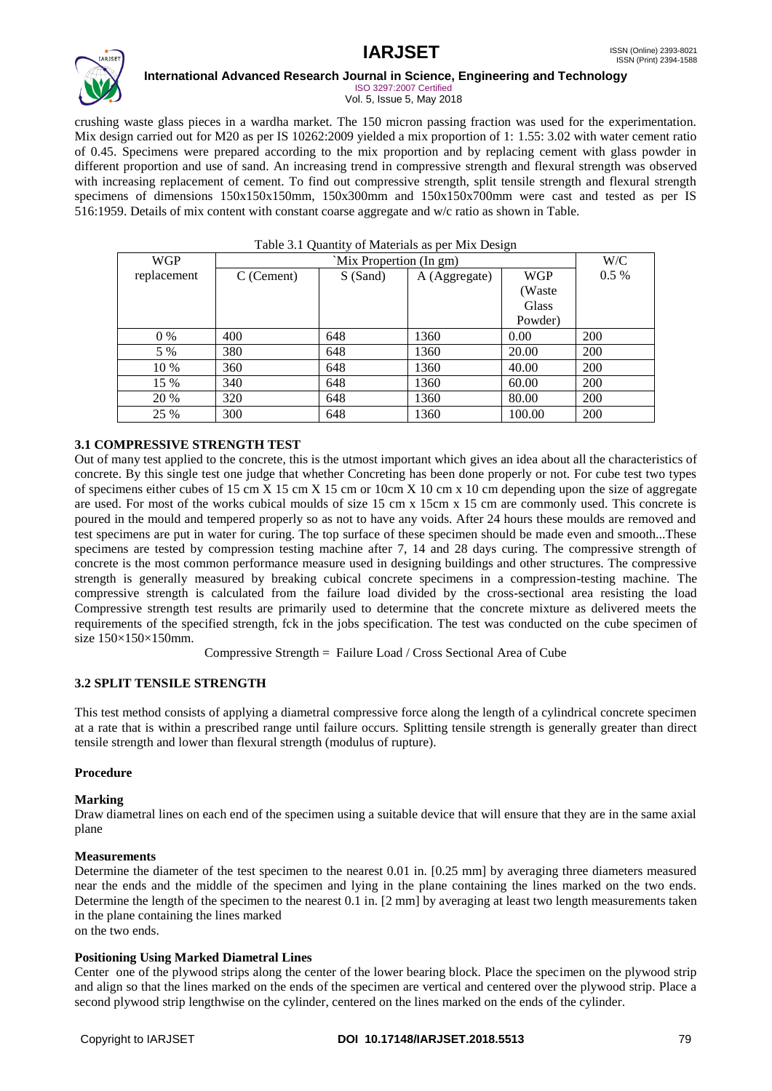

#### **International Advanced Research Journal in Science, Engineering and Technology**

ISO 3297:2007 Certified Vol. 5, Issue 5, May 2018

crushing waste glass pieces in a wardha market. The 150 micron passing fraction was used for the experimentation. Mix design carried out for M20 as per IS 10262:2009 yielded a mix proportion of 1: 1.55: 3.02 with water cement ratio of 0.45. Specimens were prepared according to the mix proportion and by replacing cement with glass powder in different proportion and use of sand. An increasing trend in compressive strength and flexural strength was observed with increasing replacement of cement. To find out compressive strength, split tensile strength and flexural strength specimens of dimensions 150x150x150mm, 150x300mm and 150x150x700mm were cast and tested as per IS 516:1959. Details of mix content with constant coarse aggregate and w/c ratio as shown in Table.

| <b>WGP</b>  | `Mix Propertion (In gm) |          |               | W/C        |         |
|-------------|-------------------------|----------|---------------|------------|---------|
| replacement | $C$ (Cement)            | S (Sand) | A (Aggregate) | <b>WGP</b> | $0.5\%$ |
|             |                         |          |               | (Waste     |         |
|             |                         |          |               | Glass      |         |
|             |                         |          |               | Powder)    |         |
| $0\%$       | 400                     | 648      | 1360          | 0.00       | 200     |
| 5 %         | 380                     | 648      | 1360          | 20.00      | 200     |
| 10 %        | 360                     | 648      | 1360          | 40.00      | 200     |
| 15 %        | 340                     | 648      | 1360          | 60.00      | 200     |
| 20 %        | 320                     | 648      | 1360          | 80.00      | 200     |
| 25 %        | 300                     | 648      | 1360          | 100.00     | 200     |

### Table 3.1 Quantity of Materials as per Mix Design

### **3.1 COMPRESSIVE STRENGTH TEST**

Out of many test applied to the concrete, this is the utmost important which gives an idea about all the characteristics of concrete. By this single test one judge that whether Concreting has been done properly or not. For cube test two types of specimens either cubes of 15 cm X 15 cm X 15 cm or 10cm X 10 cm x 10 cm depending upon the size of aggregate are used. For most of the works cubical moulds of size 15 cm x 15cm x 15 cm are commonly used. This concrete is poured in the mould and tempered properly so as not to have any voids. After 24 hours these moulds are removed and test specimens are put in water for curing. The top surface of these specimen should be made even and smooth...These specimens are tested by compression testing machine after 7, 14 and 28 days curing. The compressive strength of concrete is the most common performance measure used in designing buildings and other structures. The compressive strength is generally measured by breaking cubical concrete specimens in a compression-testing machine. The compressive strength is calculated from the failure load divided by the cross-sectional area resisting the load Compressive strength test results are primarily used to determine that the concrete mixture as delivered meets the requirements of the specified strength, fck in the jobs specification. The test was conducted on the cube specimen of size 150×150×150mm.

Compressive Strength = Failure Load / Cross Sectional Area of Cube

#### **3.2 SPLIT TENSILE STRENGTH**

This test method consists of applying a diametral compressive force along the length of a cylindrical concrete specimen at a rate that is within a prescribed range until failure occurs. Splitting tensile strength is generally greater than direct tensile strength and lower than flexural strength (modulus of rupture).

#### **Procedure**

#### **Marking**

Draw diametral lines on each end of the specimen using a suitable device that will ensure that they are in the same axial plane

### **Measurements**

Determine the diameter of the test specimen to the nearest 0.01 in. [0.25 mm] by averaging three diameters measured near the ends and the middle of the specimen and lying in the plane containing the lines marked on the two ends. Determine the length of the specimen to the nearest 0.1 in. [2 mm] by averaging at least two length measurements taken in the plane containing the lines marked on the two ends.

#### **Positioning Using Marked Diametral Lines**

Center one of the plywood strips along the center of the lower bearing block. Place the specimen on the plywood strip and align so that the lines marked on the ends of the specimen are vertical and centered over the plywood strip. Place a second plywood strip lengthwise on the cylinder, centered on the lines marked on the ends of the cylinder.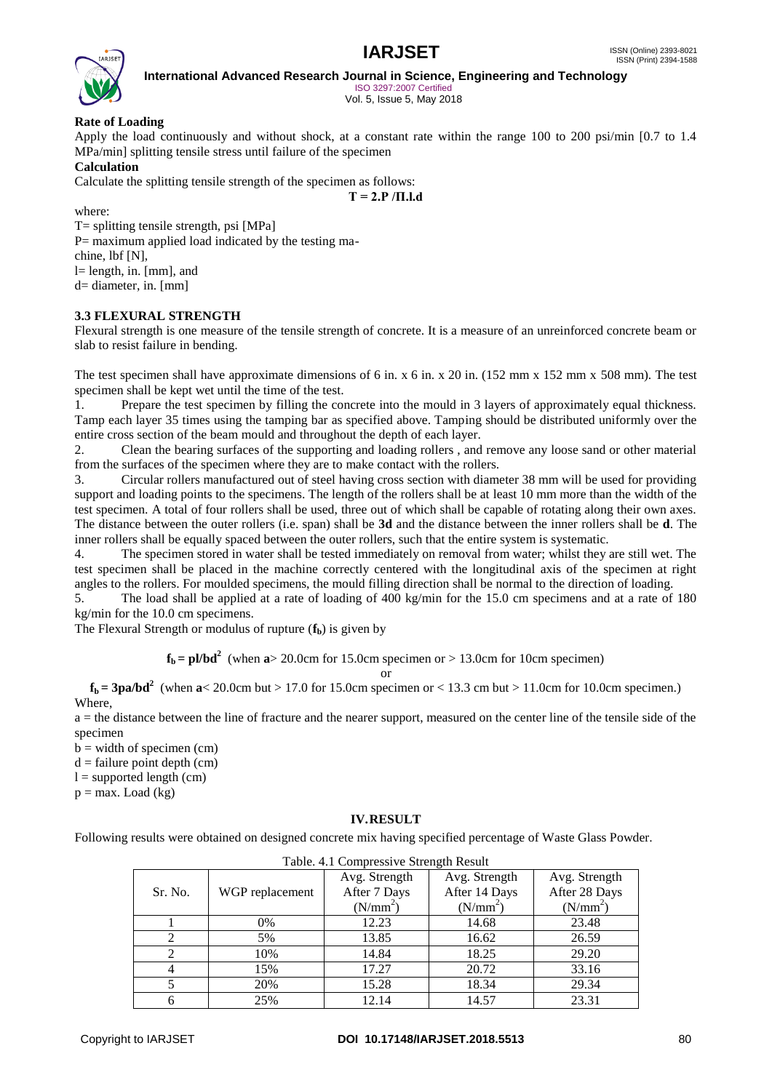

**International Advanced Research Journal in Science, Engineering and Technology**

ISO 3297:2007 Certified Vol. 5, Issue 5, May 2018

### **Rate of Loading**

Apply the load continuously and without shock, at a constant rate within the range 100 to 200 psi/min [0.7 to 1.4 MPa/min] splitting tensile stress until failure of the specimen

#### **Calculation**

Calculate the splitting tensile strength of the specimen as follows:

**T = 2.P /Π.l.d**

where:

T= splitting tensile strength, psi [MPa] P= maximum applied load indicated by the testing machine, lbf [N], l= length, in. [mm], and d= diameter, in. [mm]

#### **3.3 FLEXURAL STRENGTH**

Flexural strength is one measure of the tensile strength of concrete. It is a measure of an unreinforced concrete beam or slab to resist failure in bending.

The test specimen shall have approximate dimensions of 6 in. x 6 in. x 20 in. (152 mm x 152 mm x 508 mm). The test specimen shall be kept wet until the time of the test.

1. Prepare the test specimen by filling the concrete into the mould in 3 layers of approximately equal thickness. Tamp each layer 35 times using the tamping bar as specified above. Tamping should be distributed uniformly over the entire cross section of the beam mould and throughout the depth of each layer.

2. Clean the bearing surfaces of the supporting and loading rollers , and remove any loose sand or other material from the surfaces of the specimen where they are to make contact with the rollers.

3. Circular rollers manufactured out of steel having cross section with diameter 38 mm will be used for providing support and loading points to the specimens. The length of the rollers shall be at least 10 mm more than the width of the test specimen. A total of four rollers shall be used, three out of which shall be capable of rotating along their own axes. The distance between the outer rollers (i.e. span) shall be **3d** and the distance between the inner rollers shall be **d**. The inner rollers shall be equally spaced between the outer rollers, such that the entire system is systematic.

4. The specimen stored in water shall be tested immediately on removal from water; whilst they are still wet. The test specimen shall be placed in the machine correctly centered with the longitudinal axis of the specimen at right angles to the rollers. For moulded specimens, the mould filling direction shall be normal to the direction of loading.

5. The load shall be applied at a rate of loading of 400 kg/min for the 15.0 cm specimens and at a rate of 180 kg/min for the 10.0 cm specimens.

The Flexural Strength or modulus of rupture (**fb**) is given by

 $f_b = pl/bd^2$  (when  $a > 20.0$ cm for 15.0cm specimen or  $> 13.0$ cm for 10cm specimen)

or

 $f_b$  = 3pa/bd<sup>2</sup> (when  $a$ < 20.0cm but > 17.0 for 15.0cm specimen or < 13.3 cm but > 11.0cm for 10.0cm specimen.) **Where** 

a = the distance between the line of fracture and the nearer support, measured on the center line of the tensile side of the specimen

 $b = width of specimen (cm)$ 

 $d =$  failure point depth (cm)

 $l =$  supported length (cm)

 $p = max$ . Load (kg)

#### **IV.RESULT**

Following results were obtained on designed concrete mix having specified percentage of Waste Glass Powder.

| Table. 4.1 Compressive Strength Result |                 |                      |                      |                      |
|----------------------------------------|-----------------|----------------------|----------------------|----------------------|
|                                        |                 | Avg. Strength        | Avg. Strength        | Avg. Strength        |
| Sr. No.                                | WGP replacement | After 7 Days         | After 14 Days        | After 28 Days        |
|                                        |                 | (N/mm <sup>2</sup> ) | (N/mm <sup>2</sup> ) | (N/mm <sup>2</sup> ) |
|                                        | 0%              | 12.23                | 14.68                | 23.48                |
|                                        | 5%              | 13.85                | 16.62                | 26.59                |
|                                        | 10%             | 14.84                | 18.25                | 29.20                |
|                                        | 15%             | 17.27                | 20.72                | 33.16                |
|                                        | 20%             | 15.28                | 18.34                | 29.34                |
|                                        | 25%             | 12.14                | 14.57                | 23.31                |

Table. 4.1 Compressive Strength Result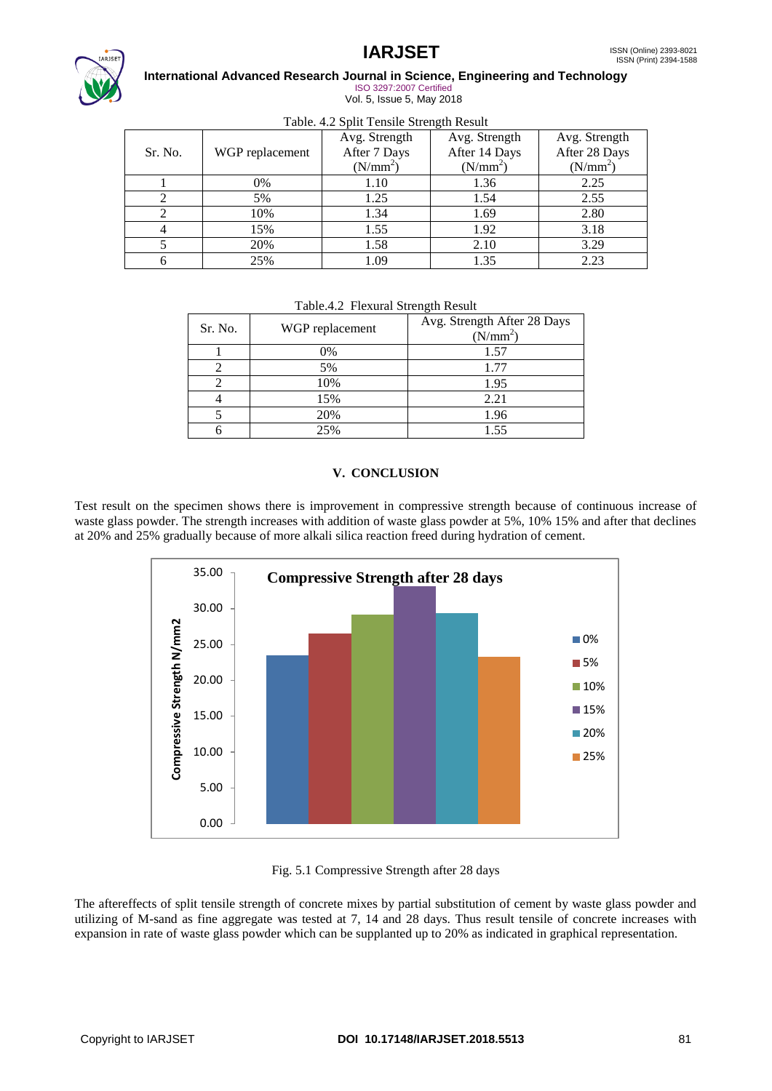

#### **International Advanced Research Journal in Science, Engineering and Technology** ISO 3297:2007 Certified Vol. 5, Issue 5, May 2018

|  |  | Table. 4.2 Split Tensile Strength Result |  |
|--|--|------------------------------------------|--|
|  |  |                                          |  |

| Tuble. He bent I chance but ength Result |                 |                      |               |               |
|------------------------------------------|-----------------|----------------------|---------------|---------------|
|                                          |                 | Avg. Strength        | Avg. Strength | Avg. Strength |
| Sr. No.                                  | WGP replacement | After 7 Days         | After 14 Days | After 28 Days |
|                                          |                 | (N/mm <sup>2</sup> ) | $(N/mm^2)$    | $(N/mm^2)$    |
|                                          | 0%              | 1.10                 | 1.36          | 2.25          |
|                                          | 5%              | 1.25                 | 1.54          | 2.55          |
|                                          | 10%             | 1.34                 | 1.69          | 2.80          |
|                                          | 15%             | 1.55                 | 1.92          | 3.18          |
|                                          | 20%             | 1.58                 | 2.10          | 3.29          |
|                                          | 25%             | 1.09                 | 1.35          | 2.23          |

| $\overline{2}$                     |         | 10%             | 1.34 | 1.69                                      | 2.80 |
|------------------------------------|---------|-----------------|------|-------------------------------------------|------|
| $\overline{4}$                     | 15%     |                 | 1.55 | 1.92                                      | 3.18 |
| 5                                  | 20%     |                 | 1.58 | 2.10                                      | 3.29 |
| 6                                  | 25%     |                 | 1.09 | 1.35                                      | 2.23 |
| Table.4.2 Flexural Strength Result |         |                 |      |                                           |      |
|                                    | Sr. No. | WGP replacement |      | Avg. Strength After 28 Days<br>$(N/mm^2)$ |      |

| Sr. No. | WGP replacement | Avg. Strength After 28 Days<br>$(N/mm^2)$ |
|---------|-----------------|-------------------------------------------|
|         | 0%              | 1.57                                      |
|         | 5%              | 1.77                                      |
|         | 10%             | 1.95                                      |
|         | 15%             | 2.21                                      |
|         | 20%             | 1.96                                      |
|         | 25%             | 1.55                                      |

### **V. CONCLUSION**

Test result on the specimen shows there is improvement in compressive strength because of continuous increase of waste glass powder. The strength increases with addition of waste glass powder at 5%, 10% 15% and after that declines at 20% and 25% gradually because of more alkali silica reaction freed during hydration of cement.



Fig. 5.1 Compressive Strength after 28 days

The aftereffects of split tensile strength of concrete mixes by partial substitution of cement by waste glass powder and utilizing of M-sand as fine aggregate was tested at 7, 14 and 28 days. Thus result tensile of concrete increases with expansion in rate of waste glass powder which can be supplanted up to 20% as indicated in graphical representation.